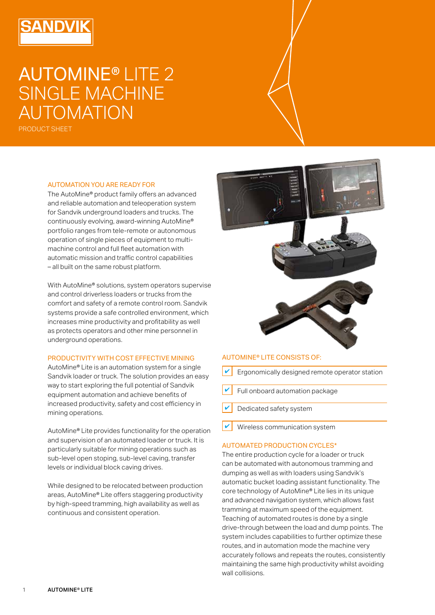# AUTOMINE® LITE 2 SINGLE MACHINE AUTOMATION

PRODUCT SHEET

#### AUTOMATION YOU ARE READY FOR

The AutoMine® product family offers an advanced and reliable automation and teleoperation system for Sandvik underground loaders and trucks. The continuously evolving, award-winning AutoMine® portfolio ranges from tele-remote or autonomous operation of single pieces of equipment to multimachine control and full fleet automation with automatic mission and traffic control capabilities – all built on the same robust platform.

With AutoMine® solutions, system operators supervise and control driverless loaders or trucks from the comfort and safety of a remote control room. Sandvik systems provide a safe controlled environment, which increases mine productivity and profitability as well as protects operators and other mine personnel in underground operations.

#### PRODUCTIVITY WITH COST EFFECTIVE MINING

AutoMine® Lite is an automation system for a single Sandvik loader or truck. The solution provides an easy way to start exploring the full potential of Sandvik equipment automation and achieve benefits of increased productivity, safety and cost efficiency in mining operations.

AutoMine® Lite provides functionality for the operation and supervision of an automated loader or truck. It is particularly suitable for mining operations such as sub-level open stoping, sub-level caving, transfer levels or individual block caving drives.

While designed to be relocated between production areas, AutoMine® Lite offers staggering productivity by high-speed tramming, high availability as well as continuous and consistent operation.



#### AUTOMINE® LITE CONSISTS OF:

- Ergonomically designed remote operator station
- ✔ Full onboard automation package
- Dedicated safety system
- ✔ Wireless communication system

## AUTOMATED PRODUCTION CYCLES\*

The entire production cycle for a loader or truck can be automated with autonomous tramming and dumping as well as with loaders using Sandvik's automatic bucket loading assistant functionality. The core technology of AutoMine® Lite lies in its unique and advanced navigation system, which allows fast tramming at maximum speed of the equipment. Teaching of automated routes is done by a single drive-through between the load and dump points. The system includes capabilities to further optimize these routes, and in automation mode the machine very accurately follows and repeats the routes, consistently maintaining the same high productivity whilst avoiding wall collisions.